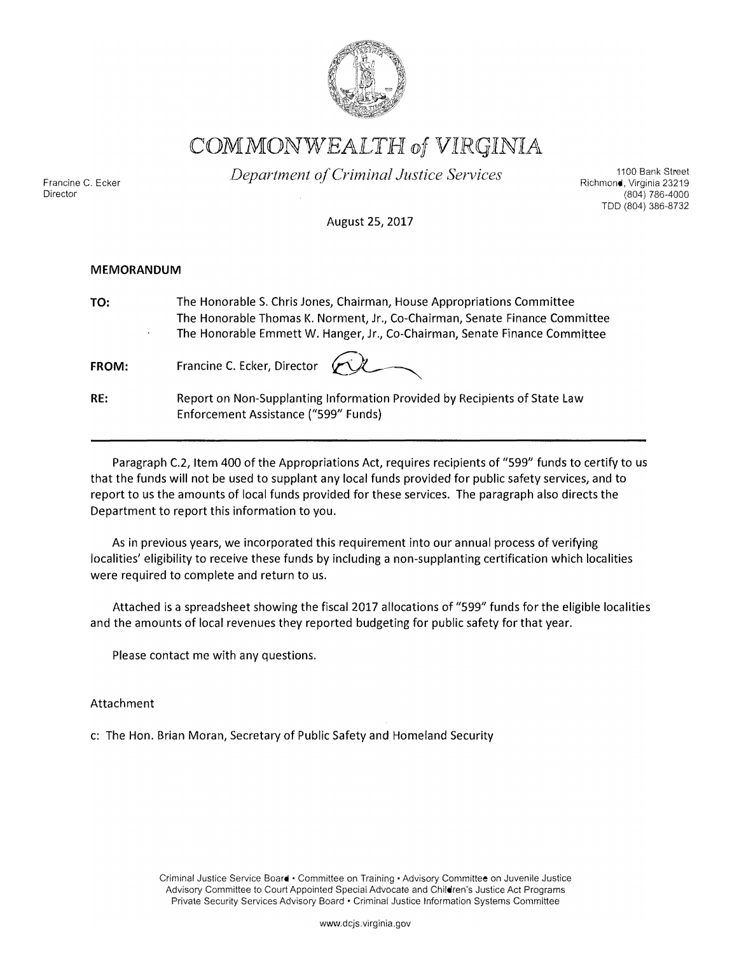

COMMONWEALTH of VIRGINIA

Francine C, Ecker Director

*Department ci Criminal Justice Services* 

1100 Bank Street Richmond, Virginia 23219 (804) 786-4000 TDD (804) 386-8732

August 25, 2017

## **MEMORANDUM**

**TO:** 

The Honorable S. Chris Jones, Chairman, House Appropriations Committee The Honorable Thomas K. Norment, Jr., Co-Chairman, Senate Finance Committee The Honorable Emmett W. Hanger, Jr., Co-Chairman, Senate Finance Committee

**FROM:**  Francine C. Ecker, Director



**RE:**  Report on Non-Supplanting Information Provided by Recipients of State Law Enforcement Assistance ("599" Funds)

Paragraph C.2, Item 400 of the Appropriations Act, requires recipients of "599" funds to certify to us that the funds will not be used to supplant any local funds provided for public safety services, and to report to us the amounts of local funds provided for these services. The paragraph also directs the Department to report this information to you.

As in previous years, we incorporated this requirement into our annual process of verifying localities' eligibility to receive these funds by including a non-supplanting certification which localities were required to complete and return to us.

Attached is a spreadsheet showing the fiscal 2017 allocations of "599" funds for the eligible localities and the amounts of local revenues they reported budgeting for public safety for that year.

Please contact me with any questions.

Attachment

c: The Hon. Brian Moran, Secretary of Public Safety and Homeland Security

Criminal Justice Service Board • Committee on Training • Advisory Committee on Juvenile Justice Advisory Committee to Court Appointed Special Advocate and Children's Justice Act Programs Private Security Services Advisory Board • Criminal Justice Information Systems Committee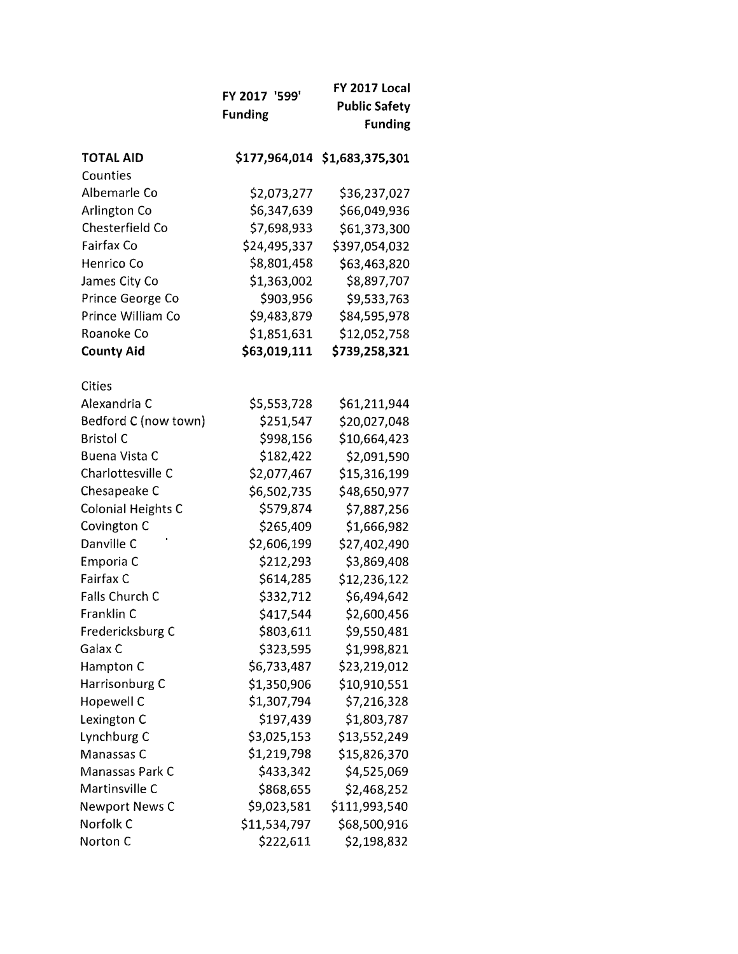|                          | FY 2017 '599'  | <b>FY 2017 Local</b>          |
|--------------------------|----------------|-------------------------------|
|                          | <b>Funding</b> | <b>Public Safety</b>          |
|                          |                | <b>Funding</b>                |
| <b>TOTAL AID</b>         |                | \$177,964,014 \$1,683,375,301 |
| Counties<br>Albemarle Co | \$2,073,277    |                               |
| Arlington Co             | \$6,347,639    | \$36,237,027<br>\$66,049,936  |
| Chesterfield Co          | \$7,698,933    | \$61,373,300                  |
| Fairfax Co               | \$24,495,337   | \$397,054,032                 |
| Henrico Co               | \$8,801,458    | \$63,463,820                  |
| James City Co            | \$1,363,002    | \$8,897,707                   |
| Prince George Co         | \$903,956      |                               |
| Prince William Co        | \$9,483,879    | \$9,533,763                   |
| Roanoke Co               | \$1,851,631    | \$84,595,978<br>\$12,052,758  |
| <b>County Aid</b>        | \$63,019,111   | \$739,258,321                 |
| Cities                   |                |                               |
| Alexandria C             | \$5,553,728    | \$61,211,944                  |
| Bedford C (now town)     | \$251,547      | \$20,027,048                  |
| <b>Bristol C</b>         | \$998,156      | \$10,664,423                  |
| Buena Vista C            | \$182,422      | \$2,091,590                   |
| Charlottesville C        | \$2,077,467    | \$15,316,199                  |
| Chesapeake C             | \$6,502,735    | \$48,650,977                  |
| Colonial Heights C       | \$579,874      | \$7,887,256                   |
| Covington C              | \$265,409      | \$1,666,982                   |
| Danville C               | \$2,606,199    | \$27,402,490                  |
| Emporia C                | \$212,293      | \$3,869,408                   |
| <b>Fairfax C</b>         | \$614,285      | \$12,236,122                  |
| Falls Church C           | \$332,712      | \$6,494,642                   |
| Franklin C               | \$417,544      | \$2,600,456                   |
| Fredericksburg C         | \$803,611      | \$9,550,481                   |
| Galax C                  | \$323,595      | \$1,998,821                   |
| Hampton C                | \$6,733,487    | \$23,219,012                  |
| Harrisonburg C           | \$1,350,906    | \$10,910,551                  |
| Hopewell C               | \$1,307,794    | \$7,216,328                   |
| Lexington C              | \$197,439      | \$1,803,787                   |
| Lynchburg C              | \$3,025,153    | \$13,552,249                  |
| Manassas C               | \$1,219,798    | \$15,826,370                  |
| Manassas Park C          | \$433,342      | \$4,525,069                   |
| Martinsville C           | \$868,655      | \$2,468,252                   |
| <b>Newport News C</b>    | \$9,023,581    | \$111,993,540                 |
| Norfolk C                | \$11,534,797   | \$68,500,916                  |
| Norton C                 | \$222,611      | \$2,198,832                   |
|                          |                |                               |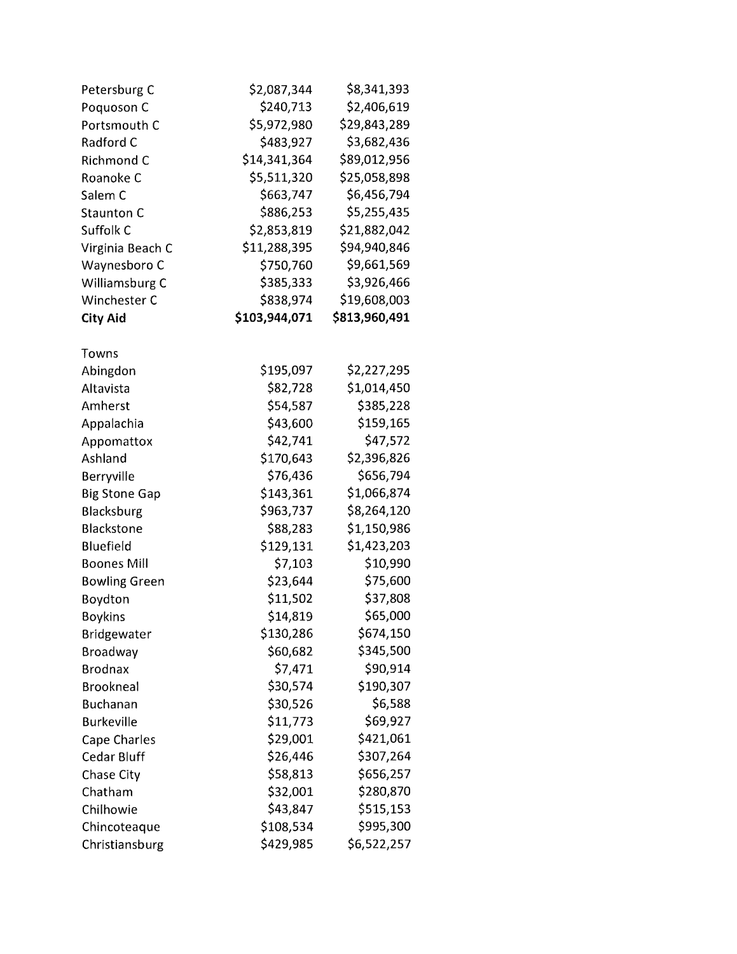| Petersburg C         | \$2,087,344   | \$8,341,393   |
|----------------------|---------------|---------------|
| Poquoson C           | \$240,713     | \$2,406,619   |
| Portsmouth C         | \$5,972,980   | \$29,843,289  |
| Radford C            | \$483,927     | \$3,682,436   |
| Richmond C           | \$14,341,364  | \$89,012,956  |
| Roanoke C            | \$5,511,320   | \$25,058,898  |
| Salem C              | \$663,747     | \$6,456,794   |
| <b>Staunton C</b>    | \$886,253     | \$5,255,435   |
| Suffolk C            | \$2,853,819   | \$21,882,042  |
| Virginia Beach C     | \$11,288,395  | \$94,940,846  |
| Waynesboro C         | \$750,760     | \$9,661,569   |
| Williamsburg C       | \$385,333     | \$3,926,466   |
| Winchester C         | \$838,974     | \$19,608,003  |
| <b>City Aid</b>      | \$103,944,071 | \$813,960,491 |
| Towns                |               |               |
| Abingdon             | \$195,097     | \$2,227,295   |
| Altavista            | \$82,728      | \$1,014,450   |
| Amherst              | \$54,587      | \$385,228     |
| Appalachia           | \$43,600      | \$159,165     |
| Appomattox           | \$42,741      | \$47,572      |
| Ashland              | \$170,643     | \$2,396,826   |
| Berryville           | \$76,436      | \$656,794     |
| <b>Big Stone Gap</b> | \$143,361     | \$1,066,874   |
| Blacksburg           | \$963,737     | \$8,264,120   |
| <b>Blackstone</b>    | \$88,283      | \$1,150,986   |
| Bluefield            | \$129,131     | \$1,423,203   |
| <b>Boones Mill</b>   | \$7,103       | \$10,990      |
| <b>Bowling Green</b> | \$23,644      | \$75,600      |
| Boydton              | \$11,502      | \$37,808      |
| <b>Boykins</b>       | \$14,819      | \$65,000      |
| Bridgewater          | \$130,286     | \$674,150     |
| <b>Broadway</b>      | \$60,682      | \$345,500     |
| <b>Brodnax</b>       | \$7,471       | \$90,914      |
| <b>Brookneal</b>     | \$30,574      | \$190,307     |
| <b>Buchanan</b>      | \$30,526      | \$6,588       |
| <b>Burkeville</b>    | \$11,773      | \$69,927      |
| Cape Charles         | \$29,001      | \$421,061     |
| Cedar Bluff          | \$26,446      | \$307,264     |
| Chase City           | \$58,813      | \$656,257     |
| Chatham              | \$32,001      | \$280,870     |
| Chilhowie            | \$43,847      | \$515,153     |
| Chincoteaque         | \$108,534     | \$995,300     |
| Christiansburg       | \$429,985     | \$6,522,257   |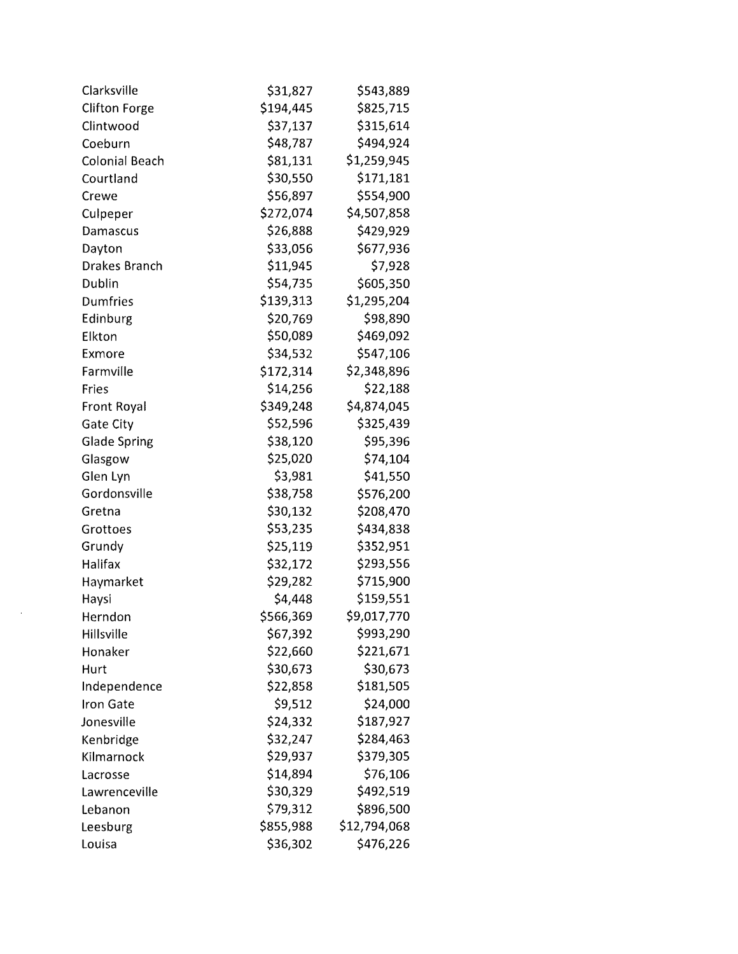| Clarksville           | \$31,827  | \$543,889    |
|-----------------------|-----------|--------------|
| <b>Clifton Forge</b>  | \$194,445 | \$825,715    |
| Clintwood             | \$37,137  | \$315,614    |
| Coeburn               | \$48,787  | \$494,924    |
| <b>Colonial Beach</b> | \$81,131  | \$1,259,945  |
| Courtland             | \$30,550  | \$171,181    |
| Crewe                 | \$56,897  | \$554,900    |
| Culpeper              | \$272,074 | \$4,507,858  |
| Damascus              | \$26,888  | \$429,929    |
| Dayton                | \$33,056  | \$677,936    |
| <b>Drakes Branch</b>  | \$11,945  | \$7,928      |
| Dublin                | \$54,735  | \$605,350    |
| Dumfries              | \$139,313 | \$1,295,204  |
| Edinburg              | \$20,769  | \$98,890     |
| Elkton                | \$50,089  | \$469,092    |
| Exmore                | \$34,532  | \$547,106    |
| Farmville             | \$172,314 | \$2,348,896  |
| Fries                 | \$14,256  | \$22,188     |
| Front Royal           | \$349,248 | \$4,874,045  |
| <b>Gate City</b>      | \$52,596  | \$325,439    |
| <b>Glade Spring</b>   | \$38,120  | \$95,396     |
| Glasgow               | \$25,020  | \$74,104     |
| Glen Lyn              | \$3,981   | \$41,550     |
| Gordonsville          | \$38,758  | \$576,200    |
| Gretna                | \$30,132  | \$208,470    |
| Grottoes              | \$53,235  | \$434,838    |
| Grundy                | \$25,119  | \$352,951    |
| Halifax               | \$32,172  | \$293,556    |
| Haymarket             | \$29,282  | \$715,900    |
| Haysi                 | \$4,448   | \$159,551    |
| Herndon               | \$566,369 | \$9,017,770  |
| Hillsville            | \$67,392  | \$993,290    |
| Honaker               | \$22,660  | \$221,671    |
| Hurt                  | \$30,673  | \$30,673     |
| Independence          | \$22,858  | \$181,505    |
| Iron Gate             | \$9,512   | \$24,000     |
| Jonesville            | \$24,332  | \$187,927    |
| Kenbridge             | \$32,247  | \$284,463    |
| Kilmarnock            | \$29,937  | \$379,305    |
| Lacrosse              | \$14,894  | \$76,106     |
| Lawrenceville         | \$30,329  | \$492,519    |
| Lebanon               | \$79,312  | \$896,500    |
| Leesburg              | \$855,988 | \$12,794,068 |
| Louisa                | \$36,302  | \$476,226    |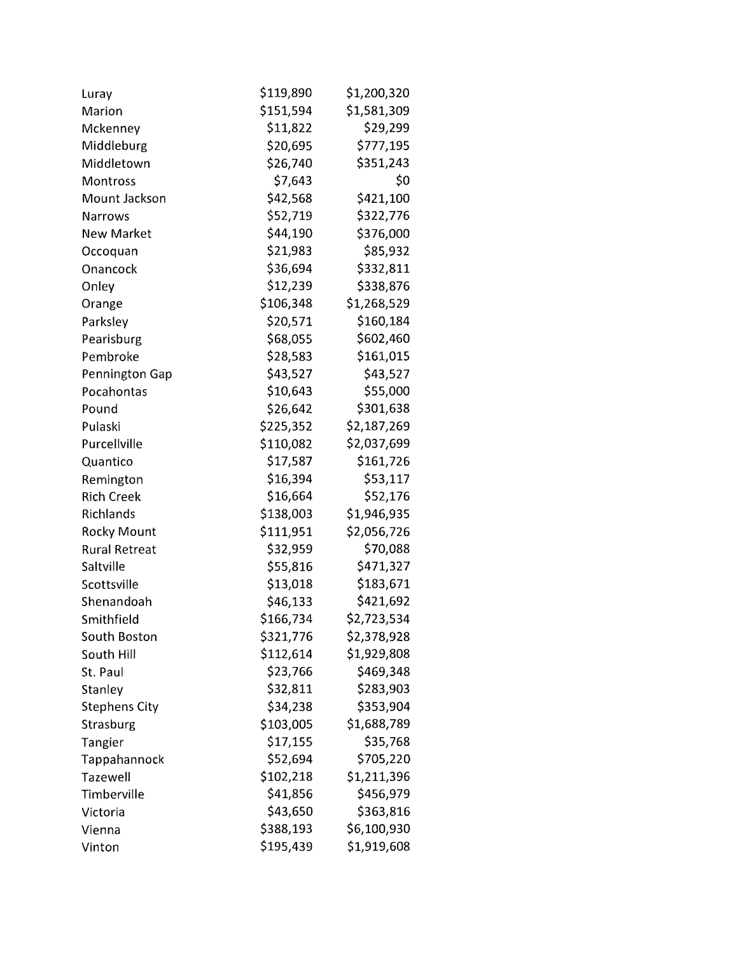| Luray                | \$119,890 | \$1,200,320 |
|----------------------|-----------|-------------|
| Marion               | \$151,594 | \$1,581,309 |
| Mckenney             | \$11,822  | \$29,299    |
| Middleburg           | \$20,695  | \$777,195   |
| Middletown           | \$26,740  | \$351,243   |
| Montross             | \$7,643   | \$0         |
| Mount Jackson        | \$42,568  | \$421,100   |
| <b>Narrows</b>       | \$52,719  | \$322,776   |
| <b>New Market</b>    | \$44,190  | \$376,000   |
| Occoquan             | \$21,983  | \$85,932    |
| Onancock             | \$36,694  | \$332,811   |
| Onley                | \$12,239  | \$338,876   |
| Orange               | \$106,348 | \$1,268,529 |
| Parksley             | \$20,571  | \$160,184   |
| Pearisburg           | \$68,055  | \$602,460   |
| Pembroke             | \$28,583  | \$161,015   |
| Pennington Gap       | \$43,527  | \$43,527    |
| Pocahontas           | \$10,643  | \$55,000    |
| Pound                | \$26,642  | \$301,638   |
| Pulaski              | \$225,352 | \$2,187,269 |
| Purcellville         | \$110,082 | \$2,037,699 |
| Quantico             | \$17,587  | \$161,726   |
| Remington            | \$16,394  | \$53,117    |
| <b>Rich Creek</b>    | \$16,664  | \$52,176    |
| Richlands            | \$138,003 | \$1,946,935 |
| <b>Rocky Mount</b>   | \$111,951 | \$2,056,726 |
| <b>Rural Retreat</b> | \$32,959  | \$70,088    |
| Saltville            | \$55,816  | \$471,327   |
| Scottsville          | \$13,018  | \$183,671   |
| Shenandoah           | \$46,133  | \$421,692   |
| Smithfield           | \$166,734 | \$2,723,534 |
| South Boston         | \$321,776 | \$2,378,928 |
| South Hill           | \$112,614 | \$1,929,808 |
| St. Paul             | \$23,766  | \$469,348   |
| Stanley              | \$32,811  | \$283,903   |
| <b>Stephens City</b> | \$34,238  | \$353,904   |
| Strasburg            | \$103,005 | \$1,688,789 |
| Tangier              | \$17,155  | \$35,768    |
| Tappahannock         | \$52,694  | \$705,220   |
| Tazewell             | \$102,218 | \$1,211,396 |
| Timberville          | \$41,856  | \$456,979   |
| Victoria             | \$43,650  | \$363,816   |
| Vienna               | \$388,193 | \$6,100,930 |
| Vinton               | \$195,439 | \$1,919,608 |